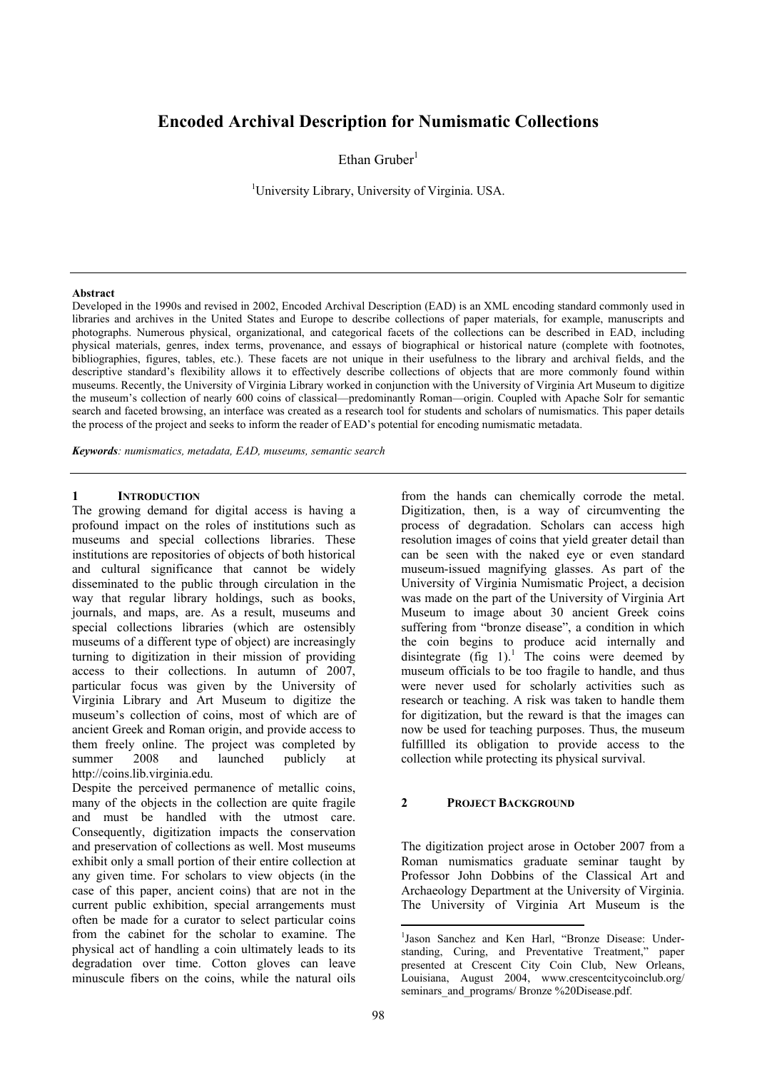# **Encoded Archival Description for Numismatic Collections**

Ethan Gruber $1$ 

<sup>1</sup>University Library, University of Virginia. USA.

#### **Abstract**

Developed in the 1990s and revised in 2002, Encoded Archival Description (EAD) is an XML encoding standard commonly used in libraries and archives in the United States and Europe to describe collections of paper materials, for example, manuscripts and photographs. Numerous physical, organizational, and categorical facets of the collections can be described in EAD, including physical materials, genres, index terms, provenance, and essays of biographical or historical nature (complete with footnotes, bibliographies, figures, tables, etc.). These facets are not unique in their usefulness to the library and archival fields, and the descriptive standard's flexibility allows it to effectively describe collections of objects that are more commonly found within museums. Recently, the University of Virginia Library worked in conjunction with the University of Virginia Art Museum to digitize the museum's collection of nearly 600 coins of classical—predominantly Roman—origin. Coupled with Apache Solr for semantic search and faceted browsing, an interface was created as a research tool for students and scholars of numismatics. This paper details the process of the project and seeks to inform the reader of EAD's potential for encoding numismatic metadata.

*Keywords: numismatics, metadata, EAD, museums, semantic search* 

## **1 INTRODUCTION**

The growing demand for digital access is having a profound impact on the roles of institutions such as museums and special collections libraries. These institutions are repositories of objects of both historical and cultural significance that cannot be widely disseminated to the public through circulation in the way that regular library holdings, such as books, journals, and maps, are. As a result, museums and special collections libraries (which are ostensibly museums of a different type of object) are increasingly turning to digitization in their mission of providing access to their collections. In autumn of 2007, particular focus was given by the University of Virginia Library and Art Museum to digitize the museum's collection of coins, most of which are of ancient Greek and Roman origin, and provide access to them freely online. The project was completed by summer 2008 and launched publicly at http://coins.lib.virginia.edu.

Despite the perceived permanence of metallic coins, many of the objects in the collection are quite fragile and must be handled with the utmost care. Consequently, digitization impacts the conservation and preservation of collections as well. Most museums exhibit only a small portion of their entire collection at any given time. For scholars to view objects (in the case of this paper, ancient coins) that are not in the current public exhibition, special arrangements must often be made for a curator to select particular coins from the cabinet for the scholar to examine. The physical act of handling a coin ultimately leads to its degradation over time. Cotton gloves can leave minuscule fibers on the coins, while the natural oils

from the hands can chemically corrode the metal. Digitization, then, is a way of circumventing the process of degradation. Scholars can access high resolution images of coins that yield greater detail than can be seen with the naked eye or even standard museum-issued magnifying glasses. As part of the University of Virginia Numismatic Project, a decision was made on the part of the University of Virginia Art Museum to image about 30 ancient Greek coins suffering from "bronze disease", a condition in which the coin begins to produce acid internally and disintegrate  $(f \circ g 1)^{1}$ . The coins were deemed by museum officials to be too fragile to handle, and thus were never used for scholarly activities such as research or teaching. A risk was taken to handle them for digitization, but the reward is that the images can now be used for teaching purposes. Thus, the museum fulfillled its obligation to provide access to the collection while protecting its physical survival.

### **2 PROJECT BACKGROUND**

The digitization project arose in October 2007 from a Roman numismatics graduate seminar taught by Professor John Dobbins of the Classical Art and Archaeology Department at the University of Virginia. The University of Virginia Art Museum is the

<sup>&</sup>lt;sup>1</sup>Jason Sanchez and Ken Harl, "Bronze Disease: Understanding, Curing, and Preventative Treatment," paper presented at Crescent City Coin Club, New Orleans, Louisiana, August 2004, www.crescentcitycoinclub.org/ seminars and programs/ Bronze %20Disease.pdf.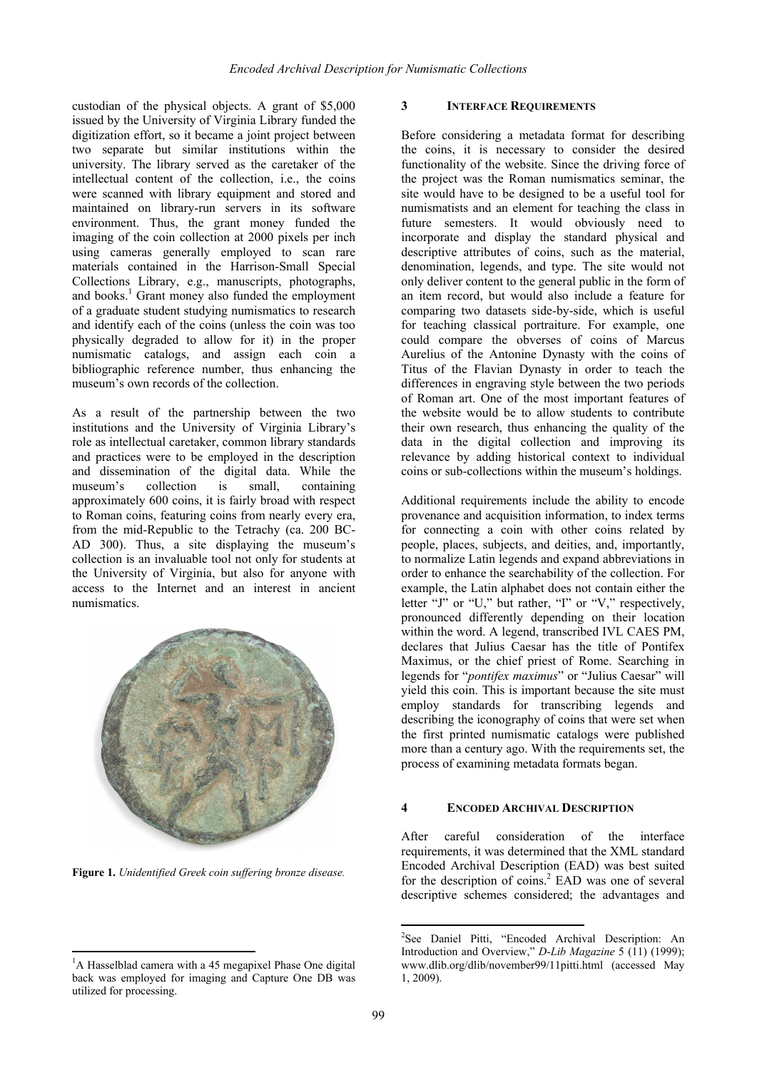custodian of the physical objects. A grant of \$5,000 issued by the University of Virginia Library funded the digitization effort, so it became a joint project between two separate but similar institutions within the university. The library served as the caretaker of the intellectual content of the collection, i.e., the coins were scanned with library equipment and stored and maintained on library-run servers in its software environment. Thus, the grant money funded the imaging of the coin collection at 2000 pixels per inch using cameras generally employed to scan rare materials contained in the Harrison-Small Special Collections Library, e.g., manuscripts, photographs, and books.<sup>1</sup> Grant money also funded the employment of a graduate student studying numismatics to research and identify each of the coins (unless the coin was too physically degraded to allow for it) in the proper numismatic catalogs, and assign each coin a bibliographic reference number, thus enhancing the museum's own records of the collection.

As a result of the partnership between the two institutions and the University of Virginia Library's role as intellectual caretaker, common library standards and practices were to be employed in the description and dissemination of the digital data. While the museum's collection is small containing approximately 600 coins, it is fairly broad with respect to Roman coins, featuring coins from nearly every era, from the mid-Republic to the Tetrachy (ca. 200 BC-AD 300). Thus, a site displaying the museum's collection is an invaluable tool not only for students at the University of Virginia, but also for anyone with access to the Internet and an interest in ancient numismatics.



**Figure 1.** *Unidentified Greek coin suffering bronze disease.* 

## **3 INTERFACE REQUIREMENTS**

Before considering a metadata format for describing the coins, it is necessary to consider the desired functionality of the website. Since the driving force of the project was the Roman numismatics seminar, the site would have to be designed to be a useful tool for numismatists and an element for teaching the class in future semesters. It would obviously need to incorporate and display the standard physical and descriptive attributes of coins, such as the material, denomination, legends, and type. The site would not only deliver content to the general public in the form of an item record, but would also include a feature for comparing two datasets side-by-side, which is useful for teaching classical portraiture. For example, one could compare the obverses of coins of Marcus Aurelius of the Antonine Dynasty with the coins of Titus of the Flavian Dynasty in order to teach the differences in engraving style between the two periods of Roman art. One of the most important features of the website would be to allow students to contribute their own research, thus enhancing the quality of the data in the digital collection and improving its relevance by adding historical context to individual coins or sub-collections within the museum's holdings.

Additional requirements include the ability to encode provenance and acquisition information, to index terms for connecting a coin with other coins related by people, places, subjects, and deities, and, importantly, to normalize Latin legends and expand abbreviations in order to enhance the searchability of the collection. For example, the Latin alphabet does not contain either the letter "J" or "U," but rather, "I" or "V," respectively, pronounced differently depending on their location within the word. A legend, transcribed IVL CAES PM, declares that Julius Caesar has the title of Pontifex Maximus, or the chief priest of Rome. Searching in legends for "*pontifex maximus*" or "Julius Caesar" will yield this coin. This is important because the site must employ standards for transcribing legends and describing the iconography of coins that were set when the first printed numismatic catalogs were published more than a century ago. With the requirements set, the process of examining metadata formats began.

### **4 ENCODED ARCHIVAL DESCRIPTION**

After careful consideration of the interface requirements, it was determined that the XML standard Encoded Archival Description (EAD) was best suited for the description of coins.<sup>2</sup> EAD was one of several descriptive schemes considered; the advantages and

<sup>&</sup>lt;sup>1</sup>A Hasselblad camera with a 45 megapixel Phase One digital back was employed for imaging and Capture One DB was utilized for processing.

<sup>2</sup> See Daniel Pitti, "Encoded Archival Description: An Introduction and Overview," *D-Lib Magazine* 5 (11) (1999); www.dlib.org/dlib/november99/11pitti.html (accessed May 1, 2009).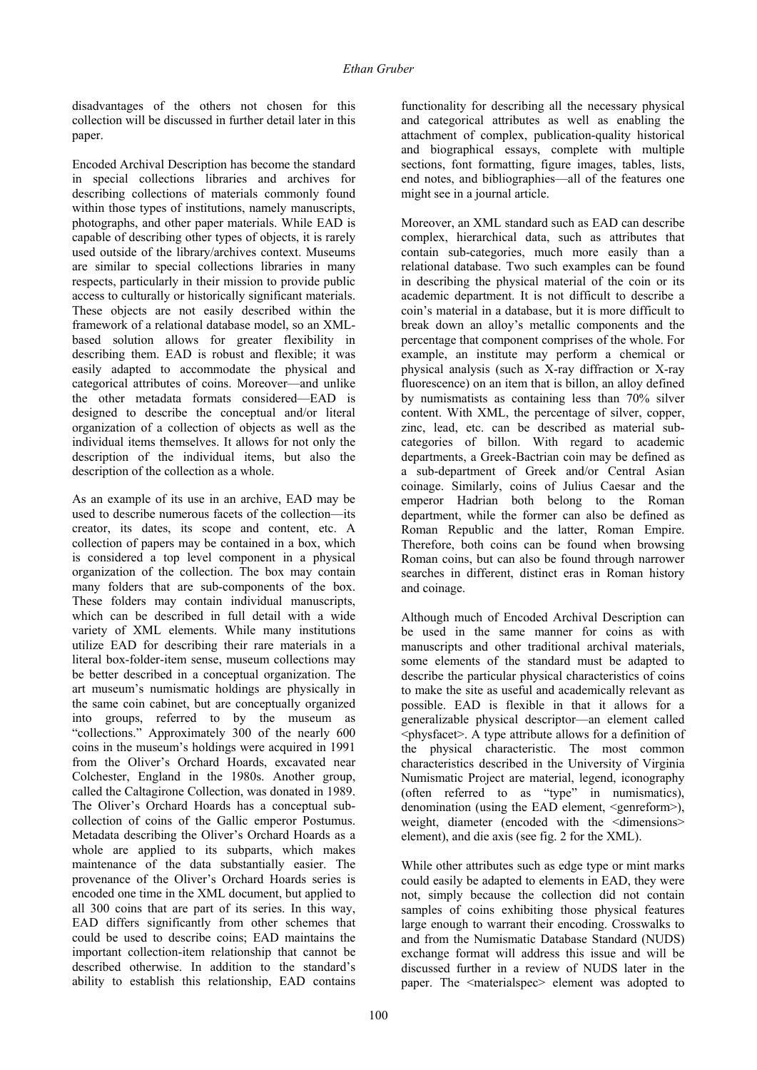disadvantages of the others not chosen for this collection will be discussed in further detail later in this paper.

Encoded Archival Description has become the standard in special collections libraries and archives for describing collections of materials commonly found within those types of institutions, namely manuscripts, photographs, and other paper materials. While EAD is capable of describing other types of objects, it is rarely used outside of the library/archives context. Museums are similar to special collections libraries in many respects, particularly in their mission to provide public access to culturally or historically significant materials. These objects are not easily described within the framework of a relational database model, so an XMLbased solution allows for greater flexibility in describing them. EAD is robust and flexible; it was easily adapted to accommodate the physical and categorical attributes of coins. Moreover—and unlike the other metadata formats considered—EAD is designed to describe the conceptual and/or literal organization of a collection of objects as well as the individual items themselves. It allows for not only the description of the individual items, but also the description of the collection as a whole.

As an example of its use in an archive, EAD may be used to describe numerous facets of the collection—its creator, its dates, its scope and content, etc. A collection of papers may be contained in a box, which is considered a top level component in a physical organization of the collection. The box may contain many folders that are sub-components of the box. These folders may contain individual manuscripts, which can be described in full detail with a wide variety of XML elements. While many institutions utilize EAD for describing their rare materials in a literal box-folder-item sense, museum collections may be better described in a conceptual organization. The art museum's numismatic holdings are physically in the same coin cabinet, but are conceptually organized into groups, referred to by the museum as "collections." Approximately 300 of the nearly 600 coins in the museum's holdings were acquired in 1991 from the Oliver's Orchard Hoards, excavated near Colchester, England in the 1980s. Another group, called the Caltagirone Collection, was donated in 1989. The Oliver's Orchard Hoards has a conceptual subcollection of coins of the Gallic emperor Postumus. Metadata describing the Oliver's Orchard Hoards as a whole are applied to its subparts, which makes maintenance of the data substantially easier. The provenance of the Oliver's Orchard Hoards series is encoded one time in the XML document, but applied to all 300 coins that are part of its series. In this way, EAD differs significantly from other schemes that could be used to describe coins; EAD maintains the important collection-item relationship that cannot be described otherwise. In addition to the standard's ability to establish this relationship, EAD contains

functionality for describing all the necessary physical and categorical attributes as well as enabling the attachment of complex, publication-quality historical and biographical essays, complete with multiple sections, font formatting, figure images, tables, lists, end notes, and bibliographies—all of the features one might see in a journal article.

Moreover, an XML standard such as EAD can describe complex, hierarchical data, such as attributes that contain sub-categories, much more easily than a relational database. Two such examples can be found in describing the physical material of the coin or its academic department. It is not difficult to describe a coin's material in a database, but it is more difficult to break down an alloy's metallic components and the percentage that component comprises of the whole. For example, an institute may perform a chemical or physical analysis (such as X-ray diffraction or X-ray fluorescence) on an item that is billon, an alloy defined by numismatists as containing less than 70% silver content. With XML, the percentage of silver, copper, zinc, lead, etc. can be described as material subcategories of billon. With regard to academic departments, a Greek-Bactrian coin may be defined as a sub-department of Greek and/or Central Asian coinage. Similarly, coins of Julius Caesar and the emperor Hadrian both belong to the Roman department, while the former can also be defined as Roman Republic and the latter, Roman Empire. Therefore, both coins can be found when browsing Roman coins, but can also be found through narrower searches in different, distinct eras in Roman history and coinage.

Although much of Encoded Archival Description can be used in the same manner for coins as with manuscripts and other traditional archival materials, some elements of the standard must be adapted to describe the particular physical characteristics of coins to make the site as useful and academically relevant as possible. EAD is flexible in that it allows for a generalizable physical descriptor—an element called <physfacet>. A type attribute allows for a definition of the physical characteristic. The most common characteristics described in the University of Virginia Numismatic Project are material, legend, iconography (often referred to as "type" in numismatics), denomination (using the EAD element, <genreform>), weight, diameter (encoded with the <dimensions> element), and die axis (see fig. 2 for the XML).

While other attributes such as edge type or mint marks could easily be adapted to elements in EAD, they were not, simply because the collection did not contain samples of coins exhibiting those physical features large enough to warrant their encoding. Crosswalks to and from the Numismatic Database Standard (NUDS) exchange format will address this issue and will be discussed further in a review of NUDS later in the paper. The <materialspec> element was adopted to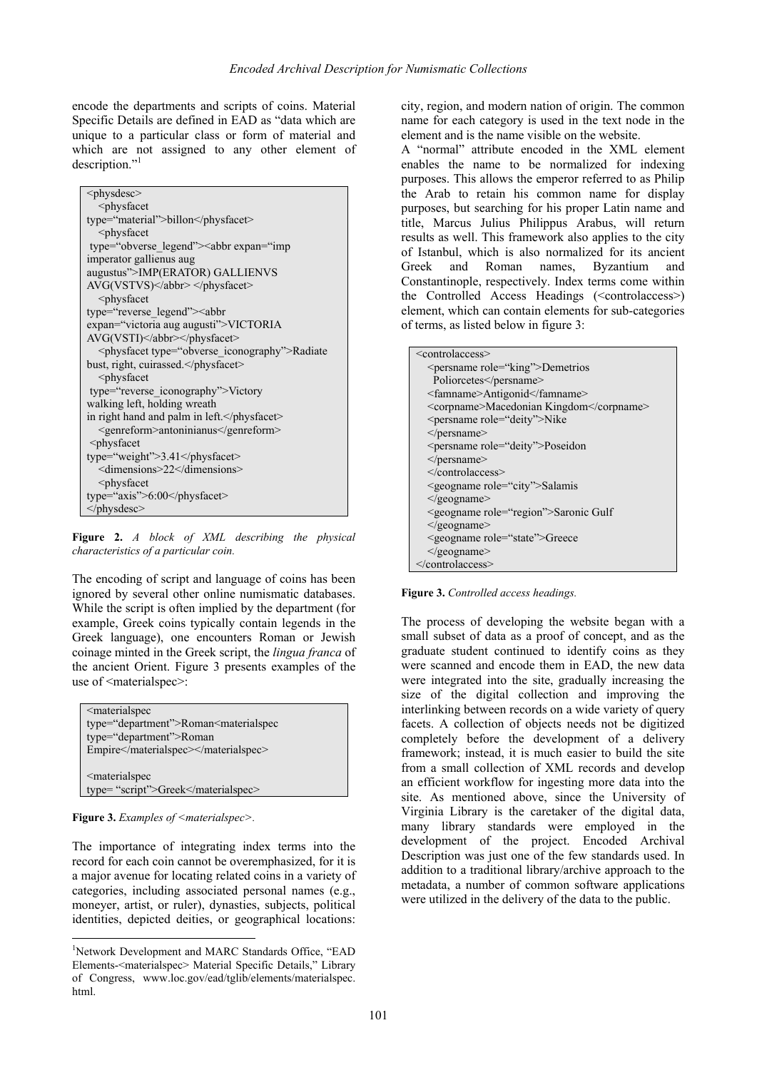encode the departments and scripts of coins. Material Specific Details are defined in EAD as "data which are unique to a particular class or form of material and which are not assigned to any other element of description."<sup>1</sup>

| <physdesc></physdesc>                                                                                                                                                                    |
|------------------------------------------------------------------------------------------------------------------------------------------------------------------------------------------|
| <physfacet< td=""></physfacet<>                                                                                                                                                          |
| type="material">billon                                                                                                                                                                   |
| <physfacet< td=""></physfacet<>                                                                                                                                                          |
| type="obverse legend"> <abbr expan="imp&lt;/td&gt;&lt;/tr&gt;&lt;tr&gt;&lt;td&gt;imperator gallienus aug&lt;/td&gt;&lt;/tr&gt;&lt;tr&gt;&lt;td&gt;augustus">IMP(ERATOR) GALLIENVS</abbr> |
| AVG(VSTVS) <sub>abbr&gt;</sub>                                                                                                                                                           |
| <physfacet< td=""></physfacet<>                                                                                                                                                          |
| type="reverse legend"> <abbr< td=""></abbr<>                                                                                                                                             |
| expan="victoria aug augusti">VICTORIA                                                                                                                                                    |
| AVG(VSTI)                                                                                                                                                                                |
| <physfacet type="obverse_iconography">Radiate</physfacet>                                                                                                                                |
| bust, right, cuirassed.                                                                                                                                                                  |
| $<$ physfacet                                                                                                                                                                            |
| type="reverse iconography">Victory                                                                                                                                                       |
| walking left, holding wreath                                                                                                                                                             |
| in right hand and palm in left.                                                                                                                                                          |
| <genreform>antoninianus</genreform>                                                                                                                                                      |
| <physfacet< td=""></physfacet<>                                                                                                                                                          |
| type="weight">3.41                                                                                                                                                                       |
| <dimensions>22</dimensions>                                                                                                                                                              |
| $<$ physfacet                                                                                                                                                                            |
| type="axis">6:00                                                                                                                                                                         |
| $<$ /physdesc>                                                                                                                                                                           |

**Figure 2.** *A block of XML describing the physical characteristics of a particular coin.*

The encoding of script and language of coins has been ignored by several other online numismatic databases. While the script is often implied by the department (for example, Greek coins typically contain legends in the Greek language), one encounters Roman or Jewish coinage minted in the Greek script, the *lingua franca* of the ancient Orient. Figure 3 presents examples of the use of  $\leq$ materialspec>:

| <materialspec< th=""></materialspec<>                         |
|---------------------------------------------------------------|
| type="department">Roman <materialspec< td=""></materialspec<> |
| type="department">Roman                                       |
| Empire                                                        |
|                                                               |
| <materialspec< td=""></materialspec<>                         |
| type="script">Greek                                           |

**Figure 3.** *Examples of <materialspec>.*

The importance of integrating index terms into the record for each coin cannot be overemphasized, for it is a major avenue for locating related coins in a variety of categories, including associated personal names (e.g., moneyer, artist, or ruler), dynasties, subjects, political identities, depicted deities, or geographical locations:

city, region, and modern nation of origin. The common name for each category is used in the text node in the element and is the name visible on the website.

A "normal" attribute encoded in the XML element enables the name to be normalized for indexing purposes. This allows the emperor referred to as Philip the Arab to retain his common name for display purposes, but searching for his proper Latin name and title, Marcus Julius Philippus Arabus, will return results as well. This framework also applies to the city of Istanbul, which is also normalized for its ancient Greek and Roman names, Byzantium and Constantinople, respectively. Index terms come within the Controlled Access Headings (<controlaccess>) element, which can contain elements for sub-categories of terms, as listed below in figure 3:

| <controlaccess></controlaccess>                 |
|-------------------------------------------------|
| <persname role="king">Demetrios</persname>      |
| Poliorcetes                                     |
| <famname>Antigonid</famname>                    |
| <corpname>Macedonian Kingdom</corpname>         |
| <persname role="deity">Nike</persname>          |
| $\le$ /persname>                                |
| <persname role="deity">Poseidon</persname>      |
| $<$ /persname>                                  |
| $\le$ /controlaccess>                           |
| <geogname role="city">Salamis</geogname>        |
| $\leq$ geogname>                                |
| <geogname role="region">Saronic Gulf</geogname> |
| $\leq$ geogname>                                |
| <geogname role="state">Greece</geogname>        |
| $\leq$ geogname>                                |
|                                                 |

**Figure 3.** *Controlled access headings.*

The process of developing the website began with a small subset of data as a proof of concept, and as the graduate student continued to identify coins as they were scanned and encode them in EAD, the new data were integrated into the site, gradually increasing the size of the digital collection and improving the interlinking between records on a wide variety of query facets. A collection of objects needs not be digitized completely before the development of a delivery framework; instead, it is much easier to build the site from a small collection of XML records and develop an efficient workflow for ingesting more data into the site. As mentioned above, since the University of Virginia Library is the caretaker of the digital data, many library standards were employed in the development of the project. Encoded Archival Description was just one of the few standards used. In addition to a traditional library/archive approach to the metadata, a number of common software applications were utilized in the delivery of the data to the public.

<sup>&</sup>lt;sup>1</sup>Network Development and MARC Standards Office, "EAD Elements-<materialspec> Material Specific Details," Library of Congress, www.loc.gov/ead/tglib/elements/materialspec. html.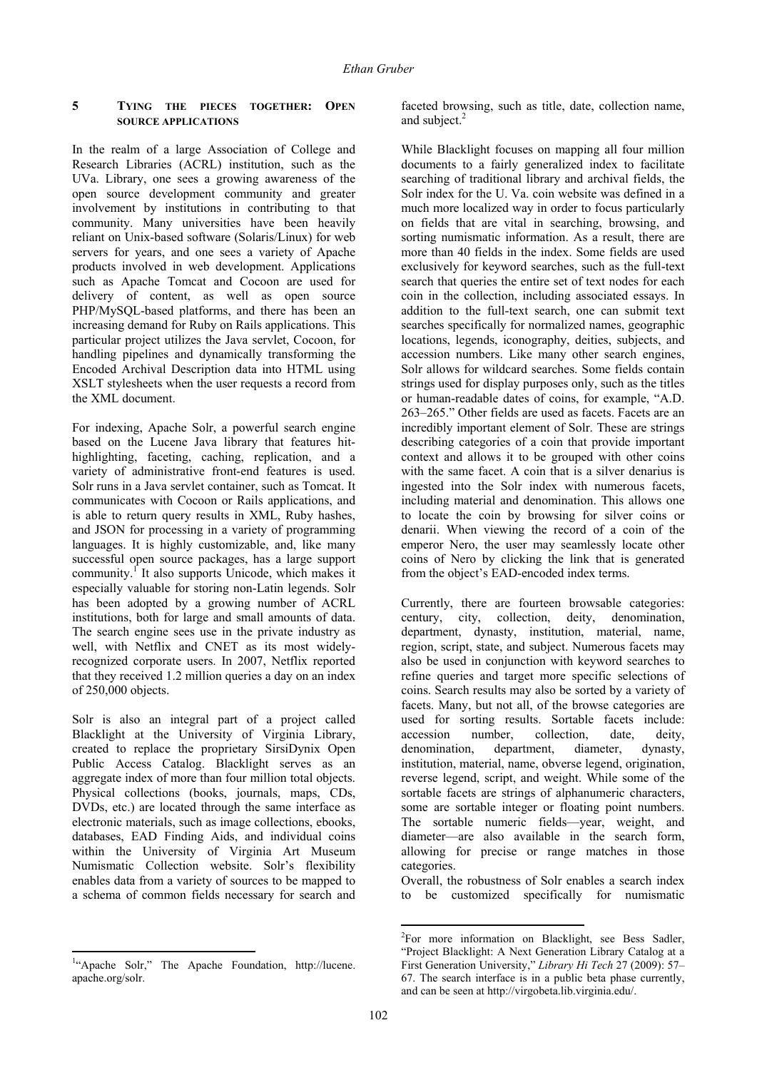## **5 TYING THE PIECES TOGETHER: OPEN SOURCE APPLICATIONS**

In the realm of a large Association of College and Research Libraries (ACRL) institution, such as the UVa. Library, one sees a growing awareness of the open source development community and greater involvement by institutions in contributing to that community. Many universities have been heavily reliant on Unix-based software (Solaris/Linux) for web servers for years, and one sees a variety of Apache products involved in web development. Applications such as Apache Tomcat and Cocoon are used for delivery of content, as well as open source PHP/MySQL-based platforms, and there has been an increasing demand for Ruby on Rails applications. This particular project utilizes the Java servlet, Cocoon, for handling pipelines and dynamically transforming the Encoded Archival Description data into HTML using XSLT stylesheets when the user requests a record from the XML document.

For indexing, Apache Solr, a powerful search engine based on the Lucene Java library that features hithighlighting, faceting, caching, replication, and a variety of administrative front-end features is used. Solr runs in a Java servlet container, such as Tomcat. It communicates with Cocoon or Rails applications, and is able to return query results in XML, Ruby hashes, and JSON for processing in a variety of programming languages. It is highly customizable, and, like many successful open source packages, has a large support community.<sup>1</sup> It also supports Unicode, which makes it especially valuable for storing non-Latin legends. Solr has been adopted by a growing number of ACRL institutions, both for large and small amounts of data. The search engine sees use in the private industry as well, with Netflix and CNET as its most widelyrecognized corporate users. In 2007, Netflix reported that they received 1.2 million queries a day on an index of 250,000 objects.

Solr is also an integral part of a project called Blacklight at the University of Virginia Library, created to replace the proprietary SirsiDynix Open Public Access Catalog. Blacklight serves as an aggregate index of more than four million total objects. Physical collections (books, journals, maps, CDs, DVDs, etc.) are located through the same interface as electronic materials, such as image collections, ebooks, databases, EAD Finding Aids, and individual coins within the University of Virginia Art Museum Numismatic Collection website. Solr's flexibility enables data from a variety of sources to be mapped to a schema of common fields necessary for search and

faceted browsing, such as title, date, collection name, and subject.<sup>2</sup>

While Blacklight focuses on mapping all four million documents to a fairly generalized index to facilitate searching of traditional library and archival fields, the Solr index for the U. Va. coin website was defined in a much more localized way in order to focus particularly on fields that are vital in searching, browsing, and sorting numismatic information. As a result, there are more than 40 fields in the index. Some fields are used exclusively for keyword searches, such as the full-text search that queries the entire set of text nodes for each coin in the collection, including associated essays. In addition to the full-text search, one can submit text searches specifically for normalized names, geographic locations, legends, iconography, deities, subjects, and accession numbers. Like many other search engines, Solr allows for wildcard searches. Some fields contain strings used for display purposes only, such as the titles or human-readable dates of coins, for example, "A.D. 263–265." Other fields are used as facets. Facets are an incredibly important element of Solr. These are strings describing categories of a coin that provide important context and allows it to be grouped with other coins with the same facet. A coin that is a silver denarius is ingested into the Solr index with numerous facets, including material and denomination. This allows one to locate the coin by browsing for silver coins or denarii. When viewing the record of a coin of the emperor Nero, the user may seamlessly locate other coins of Nero by clicking the link that is generated from the object's EAD-encoded index terms.

Currently, there are fourteen browsable categories: century, city, collection, deity, denomination, department, dynasty, institution, material, name, region, script, state, and subject. Numerous facets may also be used in conjunction with keyword searches to refine queries and target more specific selections of coins. Search results may also be sorted by a variety of facets. Many, but not all, of the browse categories are used for sorting results. Sortable facets include: accession number, collection, date, deity, denomination, department, diameter, dynasty, institution, material, name, obverse legend, origination, reverse legend, script, and weight. While some of the sortable facets are strings of alphanumeric characters, some are sortable integer or floating point numbers. The sortable numeric fields—year, weight, and diameter—are also available in the search form, allowing for precise or range matches in those categories.

Overall, the robustness of Solr enables a search index to be customized specifically for numismatic

<sup>&</sup>lt;sup>1</sup>"Apache Solr," The Apache Foundation, http://lucene. apache.org/solr.

 2 For more information on Blacklight, see Bess Sadler, "Project Blacklight: A Next Generation Library Catalog at a First Generation University," *Library Hi Tech* 27 (2009): 57– 67. The search interface is in a public beta phase currently, and can be seen at http://virgobeta.lib.virginia.edu/.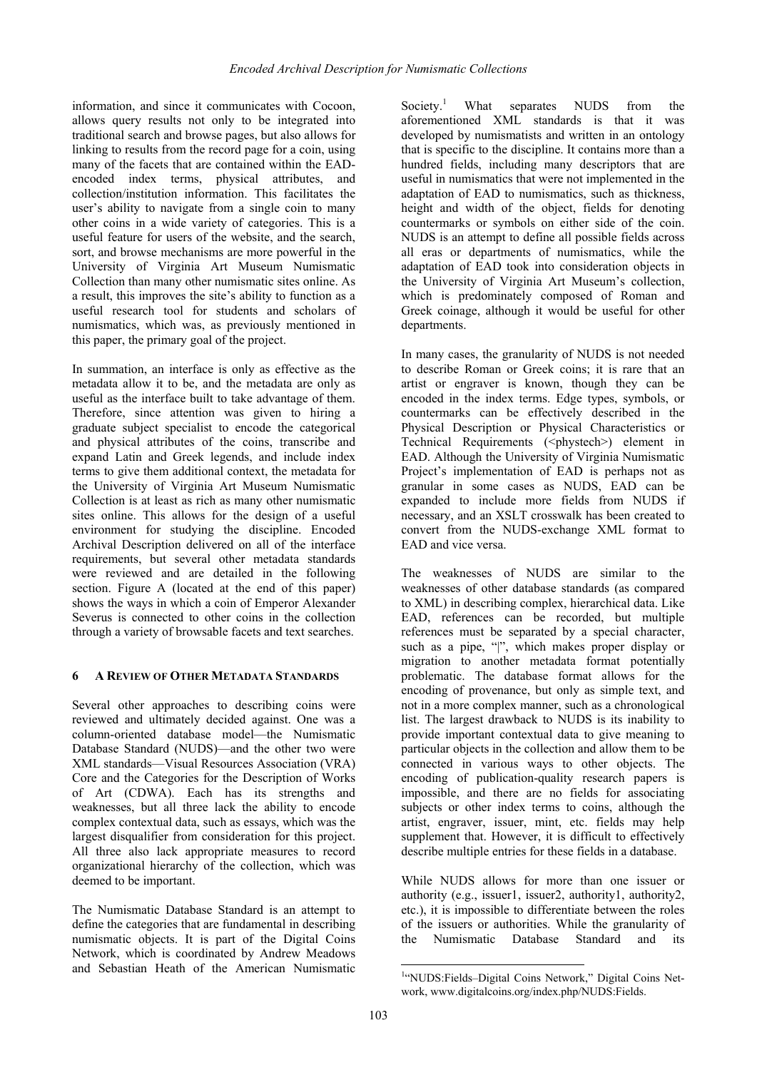information, and since it communicates with Cocoon, allows query results not only to be integrated into traditional search and browse pages, but also allows for linking to results from the record page for a coin, using many of the facets that are contained within the EADencoded index terms, physical attributes, and collection/institution information. This facilitates the user's ability to navigate from a single coin to many other coins in a wide variety of categories. This is a useful feature for users of the website, and the search, sort, and browse mechanisms are more powerful in the University of Virginia Art Museum Numismatic Collection than many other numismatic sites online. As a result, this improves the site's ability to function as a useful research tool for students and scholars of numismatics, which was, as previously mentioned in this paper, the primary goal of the project.

In summation, an interface is only as effective as the metadata allow it to be, and the metadata are only as useful as the interface built to take advantage of them. Therefore, since attention was given to hiring a graduate subject specialist to encode the categorical and physical attributes of the coins, transcribe and expand Latin and Greek legends, and include index terms to give them additional context, the metadata for the University of Virginia Art Museum Numismatic Collection is at least as rich as many other numismatic sites online. This allows for the design of a useful environment for studying the discipline. Encoded Archival Description delivered on all of the interface requirements, but several other metadata standards were reviewed and are detailed in the following section. Figure A (located at the end of this paper) shows the ways in which a coin of Emperor Alexander Severus is connected to other coins in the collection through a variety of browsable facets and text searches.

## **6 A REVIEW OF OTHER METADATA STANDARDS**

Several other approaches to describing coins were reviewed and ultimately decided against. One was a column-oriented database model—the Numismatic Database Standard (NUDS)—and the other two were XML standards—Visual Resources Association (VRA) Core and the Categories for the Description of Works of Art (CDWA). Each has its strengths and weaknesses, but all three lack the ability to encode complex contextual data, such as essays, which was the largest disqualifier from consideration for this project. All three also lack appropriate measures to record organizational hierarchy of the collection, which was deemed to be important.

The Numismatic Database Standard is an attempt to define the categories that are fundamental in describing numismatic objects. It is part of the Digital Coins Network, which is coordinated by Andrew Meadows and Sebastian Heath of the American Numismatic

Society. $1$  What separates NUDS from the aforementioned XML standards is that it was developed by numismatists and written in an ontology that is specific to the discipline. It contains more than a hundred fields, including many descriptors that are useful in numismatics that were not implemented in the adaptation of EAD to numismatics, such as thickness, height and width of the object, fields for denoting countermarks or symbols on either side of the coin. NUDS is an attempt to define all possible fields across all eras or departments of numismatics, while the adaptation of EAD took into consideration objects in the University of Virginia Art Museum's collection, which is predominately composed of Roman and Greek coinage, although it would be useful for other departments.

In many cases, the granularity of NUDS is not needed to describe Roman or Greek coins; it is rare that an artist or engraver is known, though they can be encoded in the index terms. Edge types, symbols, or countermarks can be effectively described in the Physical Description or Physical Characteristics or Technical Requirements (<phystech>) element in EAD. Although the University of Virginia Numismatic Project's implementation of EAD is perhaps not as granular in some cases as NUDS, EAD can be expanded to include more fields from NUDS if necessary, and an XSLT crosswalk has been created to convert from the NUDS-exchange XML format to EAD and vice versa.

The weaknesses of NUDS are similar to the weaknesses of other database standards (as compared to XML) in describing complex, hierarchical data. Like EAD, references can be recorded, but multiple references must be separated by a special character, such as a pipe, "|", which makes proper display or migration to another metadata format potentially problematic. The database format allows for the encoding of provenance, but only as simple text, and not in a more complex manner, such as a chronological list. The largest drawback to NUDS is its inability to provide important contextual data to give meaning to particular objects in the collection and allow them to be connected in various ways to other objects. The encoding of publication-quality research papers is impossible, and there are no fields for associating subjects or other index terms to coins, although the artist, engraver, issuer, mint, etc. fields may help supplement that. However, it is difficult to effectively describe multiple entries for these fields in a database.

While NUDS allows for more than one issuer or authority (e.g., issuer1, issuer2, authority1, authority2, etc.), it is impossible to differentiate between the roles of the issuers or authorities. While the granularity of the Numismatic Database Standard and its

 <sup>1</sup>"NUDS:Fields-Digital Coins Network," Digital Coins Network, www.digitalcoins.org/index.php/NUDS:Fields.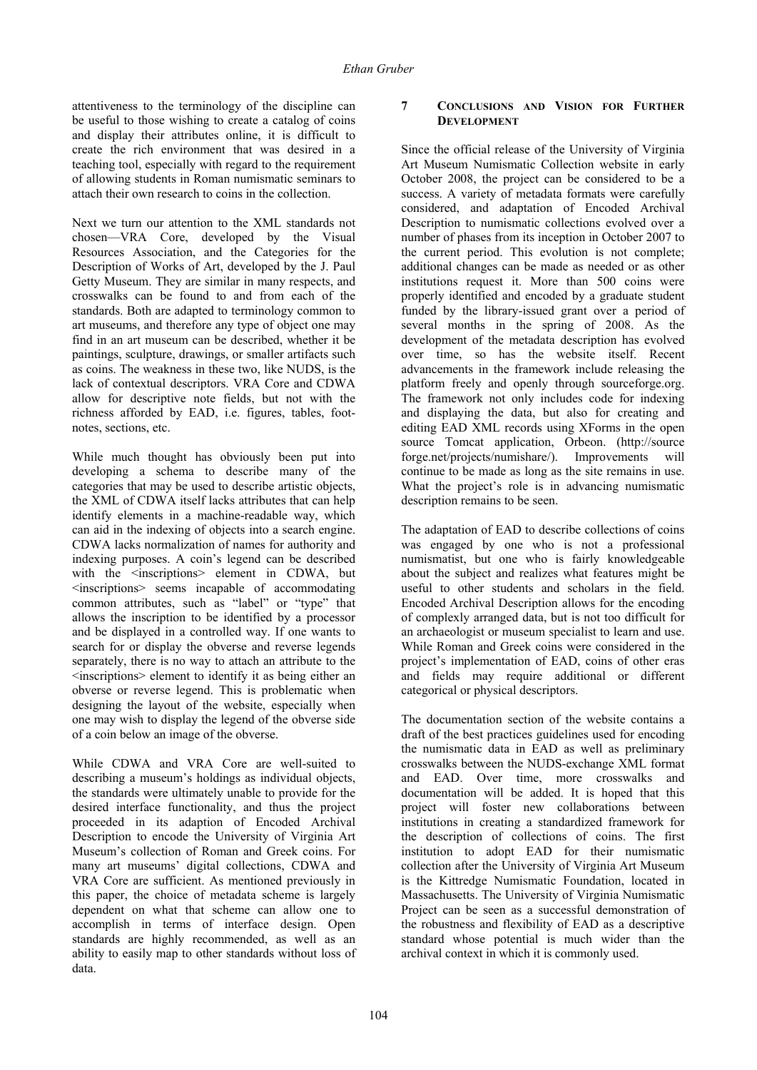attentiveness to the terminology of the discipline can be useful to those wishing to create a catalog of coins and display their attributes online, it is difficult to create the rich environment that was desired in a teaching tool, especially with regard to the requirement of allowing students in Roman numismatic seminars to attach their own research to coins in the collection.

Next we turn our attention to the XML standards not chosen—VRA Core, developed by the Visual Resources Association, and the Categories for the Description of Works of Art, developed by the J. Paul Getty Museum. They are similar in many respects, and crosswalks can be found to and from each of the standards. Both are adapted to terminology common to art museums, and therefore any type of object one may find in an art museum can be described, whether it be paintings, sculpture, drawings, or smaller artifacts such as coins. The weakness in these two, like NUDS, is the lack of contextual descriptors. VRA Core and CDWA allow for descriptive note fields, but not with the richness afforded by EAD, i.e. figures, tables, footnotes, sections, etc.

While much thought has obviously been put into developing a schema to describe many of the categories that may be used to describe artistic objects, the XML of CDWA itself lacks attributes that can help identify elements in a machine-readable way, which can aid in the indexing of objects into a search engine. CDWA lacks normalization of names for authority and indexing purposes. A coin's legend can be described with the <inscriptions> element in CDWA, but <inscriptions> seems incapable of accommodating common attributes, such as "label" or "type" that allows the inscription to be identified by a processor and be displayed in a controlled way. If one wants to search for or display the obverse and reverse legends separately, there is no way to attach an attribute to the <inscriptions> element to identify it as being either an obverse or reverse legend. This is problematic when designing the layout of the website, especially when one may wish to display the legend of the obverse side of a coin below an image of the obverse.

While CDWA and VRA Core are well-suited to describing a museum's holdings as individual objects, the standards were ultimately unable to provide for the desired interface functionality, and thus the project proceeded in its adaption of Encoded Archival Description to encode the University of Virginia Art Museum's collection of Roman and Greek coins. For many art museums' digital collections, CDWA and VRA Core are sufficient. As mentioned previously in this paper, the choice of metadata scheme is largely dependent on what that scheme can allow one to accomplish in terms of interface design. Open standards are highly recommended, as well as an ability to easily map to other standards without loss of data.

# **7 CONCLUSIONS AND VISION FOR FURTHER DEVELOPMENT**

Since the official release of the University of Virginia Art Museum Numismatic Collection website in early October 2008, the project can be considered to be a success. A variety of metadata formats were carefully considered, and adaptation of Encoded Archival Description to numismatic collections evolved over a number of phases from its inception in October 2007 to the current period. This evolution is not complete; additional changes can be made as needed or as other institutions request it. More than 500 coins were properly identified and encoded by a graduate student funded by the library-issued grant over a period of several months in the spring of 2008. As the development of the metadata description has evolved over time, so has the website itself. Recent advancements in the framework include releasing the platform freely and openly through sourceforge.org. The framework not only includes code for indexing and displaying the data, but also for creating and editing EAD XML records using XForms in the open source Tomcat application, Orbeon. (http://source forge.net/projects/numishare/). Improvements will continue to be made as long as the site remains in use. What the project's role is in advancing numismatic description remains to be seen.

The adaptation of EAD to describe collections of coins was engaged by one who is not a professional numismatist, but one who is fairly knowledgeable about the subject and realizes what features might be useful to other students and scholars in the field. Encoded Archival Description allows for the encoding of complexly arranged data, but is not too difficult for an archaeologist or museum specialist to learn and use. While Roman and Greek coins were considered in the project's implementation of EAD, coins of other eras and fields may require additional or different categorical or physical descriptors.

The documentation section of the website contains a draft of the best practices guidelines used for encoding the numismatic data in EAD as well as preliminary crosswalks between the NUDS-exchange XML format and EAD. Over time, more crosswalks and documentation will be added. It is hoped that this project will foster new collaborations between institutions in creating a standardized framework for the description of collections of coins. The first institution to adopt EAD for their numismatic collection after the University of Virginia Art Museum is the Kittredge Numismatic Foundation, located in Massachusetts. The University of Virginia Numismatic Project can be seen as a successful demonstration of the robustness and flexibility of EAD as a descriptive standard whose potential is much wider than the archival context in which it is commonly used.